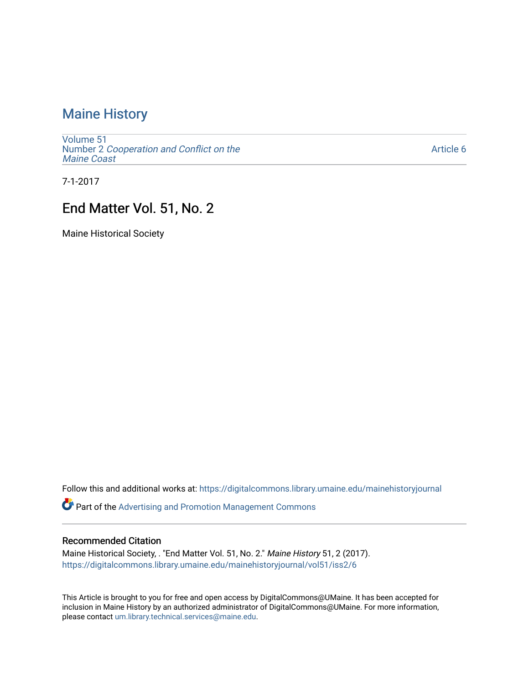## [Maine History](https://digitalcommons.library.umaine.edu/mainehistoryjournal)

[Volume 51](https://digitalcommons.library.umaine.edu/mainehistoryjournal/vol51) Number 2 [Cooperation and Conflict on the](https://digitalcommons.library.umaine.edu/mainehistoryjournal/vol51/iss2) [Maine Coast](https://digitalcommons.library.umaine.edu/mainehistoryjournal/vol51/iss2) 

[Article 6](https://digitalcommons.library.umaine.edu/mainehistoryjournal/vol51/iss2/6) 

7-1-2017

### End Matter Vol. 51, No. 2

Maine Historical Society

Follow this and additional works at: [https://digitalcommons.library.umaine.edu/mainehistoryjournal](https://digitalcommons.library.umaine.edu/mainehistoryjournal?utm_source=digitalcommons.library.umaine.edu%2Fmainehistoryjournal%2Fvol51%2Fiss2%2F6&utm_medium=PDF&utm_campaign=PDFCoverPages) 

**Part of the Advertising and Promotion Management Commons** 

#### Recommended Citation

Maine Historical Society, . "End Matter Vol. 51, No. 2." Maine History 51, 2 (2017). [https://digitalcommons.library.umaine.edu/mainehistoryjournal/vol51/iss2/6](https://digitalcommons.library.umaine.edu/mainehistoryjournal/vol51/iss2/6?utm_source=digitalcommons.library.umaine.edu%2Fmainehistoryjournal%2Fvol51%2Fiss2%2F6&utm_medium=PDF&utm_campaign=PDFCoverPages)

This Article is brought to you for free and open access by DigitalCommons@UMaine. It has been accepted for inclusion in Maine History by an authorized administrator of DigitalCommons@UMaine. For more information, please contact [um.library.technical.services@maine.edu.](mailto:um.library.technical.services@maine.edu)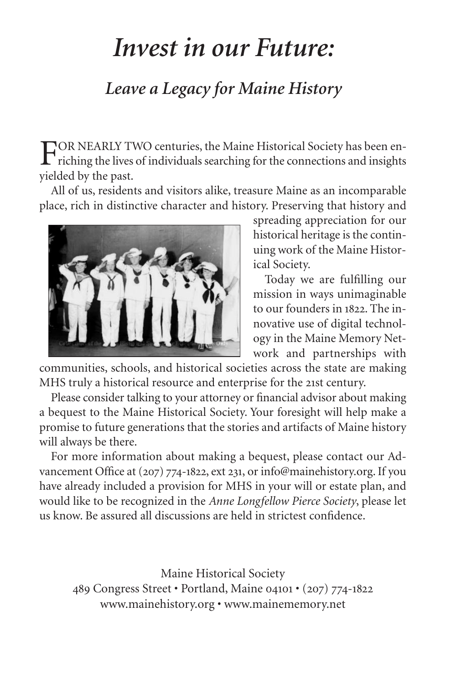# *Invest in our Future:*

## *Leave a Legacy for Maine History*

FOR NEARLY TWO centuries, the Maine Historical Society has been en-<br>riching the lives of individuals searching for the connections and insights yielded by the past.

All of us, residents and visitors alike, treasure Maine as an incomparable place, rich in distinctive character and history. Preserving that history and



spreading appreciation for our historical heritage is the continuing work of the Maine Historical Society.

Today we are fulfilling our mission in ways unimaginable to our founders in 1822. The innovative use of digital technology in the Maine Memory Network and partnerships with

communities, schools, and historical societies across the state are making MHS truly a historical resource and enterprise for the 21st century.

Please consider talking to your attorney or financial advisor about making a bequest to the Maine Historical Society. Your foresight will help make a promise to future generations that the stories and artifacts of Maine history will always be there.

For more information about making a bequest, please contact our Advancement Office at (207) 774-1822, ext 231, or info@mainehistory.org. If you have already included a provision for MHS in your will or estate plan, and would like to be recognized in the *Anne Longfellow Pierce Society*, please let us know. Be assured all discussions are held in strictest confidence.

Maine Historical Society 489 Congress Street • Portland, Maine 04101 • (207) 774-1822 www.mainehistory.org • www.mainememory.net